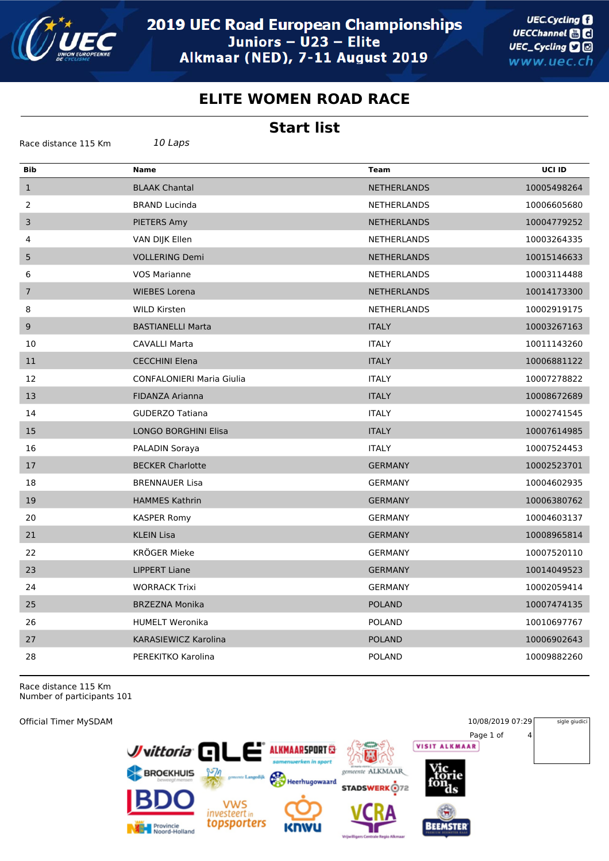

## **ELITE WOMEN ROAD RACE**

## **Start list**

| Race distance 115 Km | 10 Laps                          |                    |             |
|----------------------|----------------------------------|--------------------|-------------|
| <b>Bib</b>           | <b>Name</b>                      | <b>Team</b>        | UCI ID      |
| $\mathbf{1}$         | <b>BLAAK Chantal</b>             | <b>NETHERLANDS</b> | 10005498264 |
| 2                    | <b>BRAND Lucinda</b>             | <b>NETHERLANDS</b> | 10006605680 |
| 3                    | PIETERS Amy                      | <b>NETHERLANDS</b> | 10004779252 |
| 4                    | VAN DIJK Ellen                   | <b>NETHERLANDS</b> | 10003264335 |
| 5                    | <b>VOLLERING Demi</b>            | <b>NETHERLANDS</b> | 10015146633 |
| 6                    | <b>VOS Marianne</b>              | <b>NETHERLANDS</b> | 10003114488 |
| $\overline{7}$       | <b>WIEBES Lorena</b>             | <b>NETHERLANDS</b> | 10014173300 |
| 8                    | <b>WILD Kirsten</b>              | <b>NETHERLANDS</b> | 10002919175 |
| $9\,$                | <b>BASTIANELLI Marta</b>         | <b>ITALY</b>       | 10003267163 |
| 10                   | <b>CAVALLI Marta</b>             | <b>ITALY</b>       | 10011143260 |
| 11                   | <b>CECCHINI Elena</b>            | <b>ITALY</b>       | 10006881122 |
| 12                   | <b>CONFALONIERI Maria Giulia</b> | <b>ITALY</b>       | 10007278822 |
| 13                   | FIDANZA Arianna                  | <b>ITALY</b>       | 10008672689 |
| 14                   | <b>GUDERZO Tatiana</b>           | <b>ITALY</b>       | 10002741545 |
| 15                   | LONGO BORGHINI Elisa             | <b>ITALY</b>       | 10007614985 |
| 16                   | PALADIN Soraya                   | <b>ITALY</b>       | 10007524453 |
| 17                   | <b>BECKER Charlotte</b>          | <b>GERMANY</b>     | 10002523701 |
| 18                   | <b>BRENNAUER Lisa</b>            | <b>GERMANY</b>     | 10004602935 |
| 19                   | <b>HAMMES Kathrin</b>            | <b>GERMANY</b>     | 10006380762 |
| 20                   | <b>KASPER Romy</b>               | <b>GERMANY</b>     | 10004603137 |
| 21                   | <b>KLEIN Lisa</b>                | <b>GERMANY</b>     | 10008965814 |
| 22                   | KRÖGER Mieke                     | <b>GERMANY</b>     | 10007520110 |
| 23                   | <b>LIPPERT Liane</b>             | <b>GERMANY</b>     | 10014049523 |
| 24                   | <b>WORRACK Trixi</b>             | <b>GERMANY</b>     | 10002059414 |
| 25                   | <b>BRZEZNA Monika</b>            | <b>POLAND</b>      | 10007474135 |
| 26                   | <b>HUMELT Weronika</b>           | <b>POLAND</b>      | 10010697767 |
| 27                   | KARASIEWICZ Karolina             | <b>POLAND</b>      | 10006902643 |
| 28                   | PEREKITKO Karolina               | <b>POLAND</b>      | 10009882260 |

Race distance 115 Km Number of participants 101

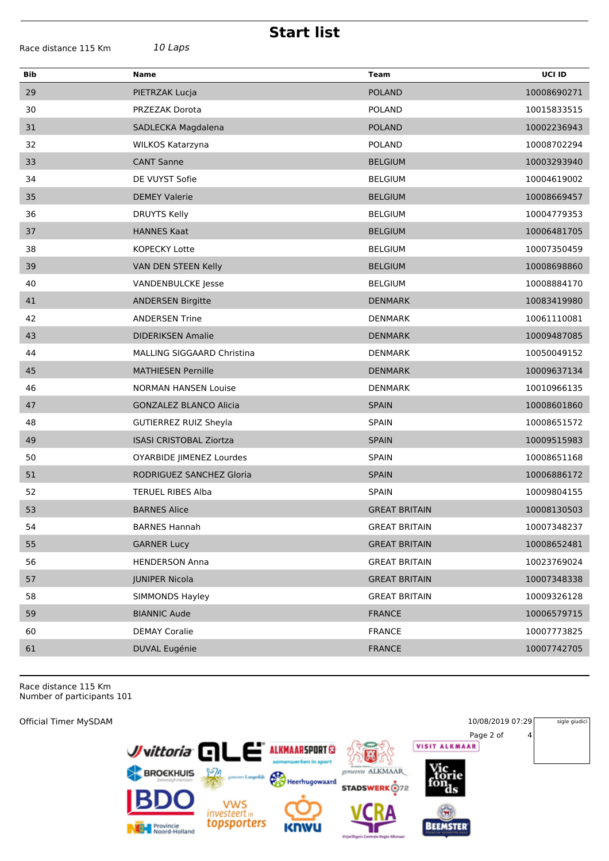| <b>Start list</b>    |                                |                      |             |  |
|----------------------|--------------------------------|----------------------|-------------|--|
| Race distance 115 Km | 10 Laps                        |                      |             |  |
| <b>Bib</b>           | <b>Name</b>                    | <b>Team</b>          | UCI ID      |  |
| 29                   | PIETRZAK Lucja                 | <b>POLAND</b>        | 10008690271 |  |
| 30                   | PRZEZAK Dorota                 | <b>POLAND</b>        | 10015833515 |  |
| 31                   | SADLECKA Magdalena             | <b>POLAND</b>        | 10002236943 |  |
| 32                   | WILKOS Katarzyna               | <b>POLAND</b>        | 10008702294 |  |
| 33                   | <b>CANT Sanne</b>              | <b>BELGIUM</b>       | 10003293940 |  |
| 34                   | DE VUYST Sofie                 | <b>BELGIUM</b>       | 10004619002 |  |
| 35                   | <b>DEMEY Valerie</b>           | <b>BELGIUM</b>       | 10008669457 |  |
| 36                   | DRUYTS Kelly                   | <b>BELGIUM</b>       | 10004779353 |  |
| 37                   | <b>HANNES Kaat</b>             | <b>BELGIUM</b>       | 10006481705 |  |
| 38                   | <b>KOPECKY Lotte</b>           | <b>BELGIUM</b>       | 10007350459 |  |
| 39                   | VAN DEN STEEN Kelly            | <b>BELGIUM</b>       | 10008698860 |  |
| 40                   | VANDENBULCKE Jesse             | <b>BELGIUM</b>       | 10008884170 |  |
| 41                   | <b>ANDERSEN Birgitte</b>       | <b>DENMARK</b>       | 10083419980 |  |
| 42                   | <b>ANDERSEN Trine</b>          | <b>DENMARK</b>       | 10061110081 |  |
| 43                   | <b>DIDERIKSEN Amalie</b>       | <b>DENMARK</b>       | 10009487085 |  |
| 44                   | MALLING SIGGAARD Christina     | <b>DENMARK</b>       | 10050049152 |  |
| 45                   | <b>MATHIESEN Pernille</b>      | <b>DENMARK</b>       | 10009637134 |  |
| 46                   | <b>NORMAN HANSEN Louise</b>    | <b>DENMARK</b>       | 10010966135 |  |
| 47                   | <b>GONZALEZ BLANCO Alicia</b>  | <b>SPAIN</b>         | 10008601860 |  |
| 48                   | <b>GUTIERREZ RUIZ Sheyla</b>   | <b>SPAIN</b>         | 10008651572 |  |
| 49                   | <b>ISASI CRISTOBAL Ziortza</b> | <b>SPAIN</b>         | 10009515983 |  |
| 50                   | OYARBIDE JIMENEZ Lourdes       | <b>SPAIN</b>         | 10008651168 |  |
| 51                   | RODRIGUEZ SANCHEZ Gloria       | <b>SPAIN</b>         | 10006886172 |  |
| 52                   | <b>TERUEL RIBES Alba</b>       | <b>SPAIN</b>         | 10009804155 |  |
| 53                   | <b>BARNES Alice</b>            | <b>GREAT BRITAIN</b> | 10008130503 |  |
| 54                   | <b>BARNES Hannah</b>           | <b>GREAT BRITAIN</b> | 10007348237 |  |
| 55                   | <b>GARNER Lucy</b>             | <b>GREAT BRITAIN</b> | 10008652481 |  |
| 56                   | <b>HENDERSON Anna</b>          | <b>GREAT BRITAIN</b> | 10023769024 |  |
| 57                   | <b>JUNIPER Nicola</b>          | <b>GREAT BRITAIN</b> | 10007348338 |  |
| 58                   | SIMMONDS Hayley                | <b>GREAT BRITAIN</b> | 10009326128 |  |
| 59                   | <b>BIANNIC Aude</b>            | <b>FRANCE</b>        | 10006579715 |  |
| 60                   | <b>DEMAY Coralie</b>           | <b>FRANCE</b>        | 10007773825 |  |
| 61                   | DUVAL Eugénie                  | <b>FRANCE</b>        | 10007742705 |  |
|                      |                                |                      |             |  |

Race distance 115 Km Number of participants 101

Official Timer MySDAM 10/08/2019 07:29 sigle giudici Page 2 of 4 ک است. Juittoria<sup>C</sup> **ALKMAARSPORT**  $\mathbf{E}$ F BROEKHUIS 鄂 gemeente ALKMAAR Heerhugowaard r **STADSWERK**<sup>172</sup> VWS<br>investeert in<br>**topsporters BEEMSTER** Provincie<br>Noord-Holland KM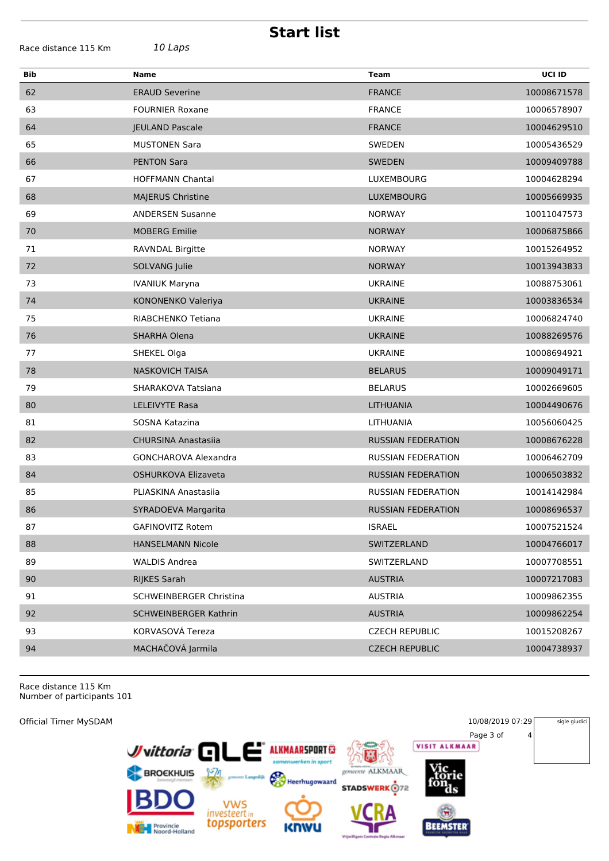| Race distance 115 Km |  |  |
|----------------------|--|--|
|----------------------|--|--|

Race distance 115 Km *10 Laps*

**Start list**

| <b>Bib</b> | <b>Name</b>                    | <b>Team</b>               | UCI ID      |
|------------|--------------------------------|---------------------------|-------------|
| 62         | <b>ERAUD Severine</b>          | <b>FRANCE</b>             | 10008671578 |
| 63         | <b>FOURNIER Roxane</b>         | <b>FRANCE</b>             | 10006578907 |
| 64         | <b>JEULAND Pascale</b>         | <b>FRANCE</b>             | 10004629510 |
| 65         | <b>MUSTONEN Sara</b>           | SWEDEN                    | 10005436529 |
| 66         | <b>PENTON Sara</b>             | SWEDEN                    | 10009409788 |
| 67         | <b>HOFFMANN Chantal</b>        | LUXEMBOURG                | 10004628294 |
| 68         | <b>MAJERUS Christine</b>       | <b>LUXEMBOURG</b>         | 10005669935 |
| 69         | <b>ANDERSEN Susanne</b>        | <b>NORWAY</b>             | 10011047573 |
| 70         | <b>MOBERG Emilie</b>           | <b>NORWAY</b>             | 10006875866 |
| 71         | RAVNDAL Birgitte               | <b>NORWAY</b>             | 10015264952 |
| 72         | SOLVANG Julie                  | <b>NORWAY</b>             | 10013943833 |
| 73         | <b>IVANIUK Maryna</b>          | <b>UKRAINE</b>            | 10088753061 |
| 74         | KONONENKO Valeriya             | <b>UKRAINE</b>            | 10003836534 |
| 75         | RIABCHENKO Tetiana             | <b>UKRAINE</b>            | 10006824740 |
| 76         | SHARHA Olena                   | <b>UKRAINE</b>            | 10088269576 |
| 77         | SHEKEL Olga                    | <b>UKRAINE</b>            | 10008694921 |
| 78         | <b>NASKOVICH TAISA</b>         | <b>BELARUS</b>            | 10009049171 |
| 79         | SHARAKOVA Tatsiana             | <b>BELARUS</b>            | 10002669605 |
| 80         | <b>LELEIVYTE Rasa</b>          | <b>LITHUANIA</b>          | 10004490676 |
| 81         | SOSNA Katazina                 | LITHUANIA                 | 10056060425 |
| 82         | <b>CHURSINA Anastasiia</b>     | <b>RUSSIAN FEDERATION</b> | 10008676228 |
| 83         | GONCHAROVA Alexandra           | <b>RUSSIAN FEDERATION</b> | 10006462709 |
| 84         | OSHURKOVA Elizaveta            | <b>RUSSIAN FEDERATION</b> | 10006503832 |
| 85         | PLIASKINA Anastasiia           | <b>RUSSIAN FEDERATION</b> | 10014142984 |
| 86         | SYRADOEVA Margarita            | <b>RUSSIAN FEDERATION</b> | 10008696537 |
| 87         | GAFINOVITZ Rotem               | <b>ISRAEL</b>             | 10007521524 |
| 88         | <b>HANSELMANN Nicole</b>       | SWITZERLAND               | 10004766017 |
| 89         | <b>WALDIS Andrea</b>           | SWITZERLAND               | 10007708551 |
| 90         | RIJKES Sarah                   | <b>AUSTRIA</b>            | 10007217083 |
| 91         | <b>SCHWEINBERGER Christina</b> | <b>AUSTRIA</b>            | 10009862355 |
| 92         | <b>SCHWEINBERGER Kathrin</b>   | <b>AUSTRIA</b>            | 10009862254 |
| 93         | KORVASOVÁ Tereza               | <b>CZECH REPUBLIC</b>     | 10015208267 |
| 94         | MACHAČOVÁ Jarmila              | <b>CZECH REPUBLIC</b>     | 10004738937 |
|            |                                |                           |             |

Race distance 115 Km Number of participants 101